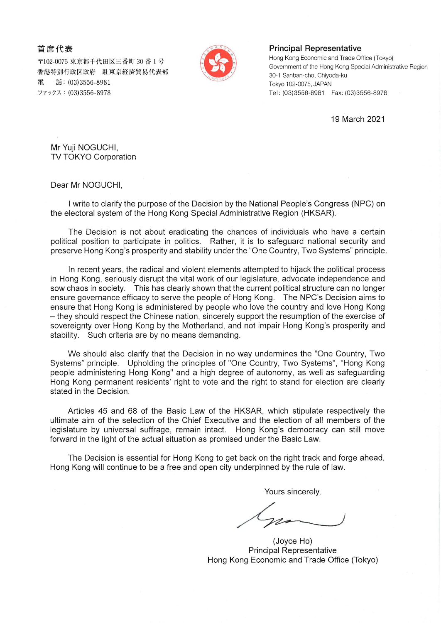首席代表

〒102-0075 東京都千代田区三番町 30 番1号 香港特別行政区政府 駐東京経済貿易代表部 話: (03)3556-8981 雷 ファックス: (03)3556-8978



## **Principal Representative**

Hong Kong Economic and Trade Office (Tokyo) Government of the Hong Kong Special Administrative Region 30-1 Sanban-cho, Chivoda-ku Tokyo 102-0075, JAPAN Tel: (03)3556-8981 Fax: (03)3556-8978

19 March 2021

Mr Yuji NOGUCHI, **TV TOKYO Corporation** 

Dear Mr NOGUCHI,

I write to clarify the purpose of the Decision by the National People's Congress (NPC) on the electoral system of the Hong Kong Special Administrative Region (HKSAR).

The Decision is not about eradicating the chances of individuals who have a certain political position to participate in politics. Rather, it is to safequard national security and preserve Hong Kong's prosperity and stability under the "One Country, Two Systems" principle.

In recent years, the radical and violent elements attempted to hijack the political process in Hong Kong, seriously disrupt the vital work of our legislature, advocate independence and sow chaos in society. This has clearly shown that the current political structure can no longer ensure governance efficacy to serve the people of Hong Kong. The NPC's Decision aims to ensure that Hong Kong is administered by people who love the country and love Hong Kong - they should respect the Chinese nation, sincerely support the resumption of the exercise of sovereignty over Hong Kong by the Motherland, and not impair Hong Kong's prosperity and stability. Such criteria are by no means demanding.

We should also clarify that the Decision in no way undermines the "One Country, Two Systems" principle. Upholding the principles of "One Country, Two Systems", "Hong Kong people administering Hong Kong" and a high degree of autonomy, as well as safeguarding Hong Kong permanent residents' right to vote and the right to stand for election are clearly stated in the Decision.

Articles 45 and 68 of the Basic Law of the HKSAR, which stipulate respectively the ultimate aim of the selection of the Chief Executive and the election of all members of the legislature by universal suffrage, remain intact. Hong Kong's democracy can still move forward in the light of the actual situation as promised under the Basic Law.

The Decision is essential for Hong Kong to get back on the right track and forge ahead. Hong Kong will continue to be a free and open city underpinned by the rule of law.

Yours sincerely,

(Joyce Ho) **Principal Representative** Hong Kong Economic and Trade Office (Tokyo)